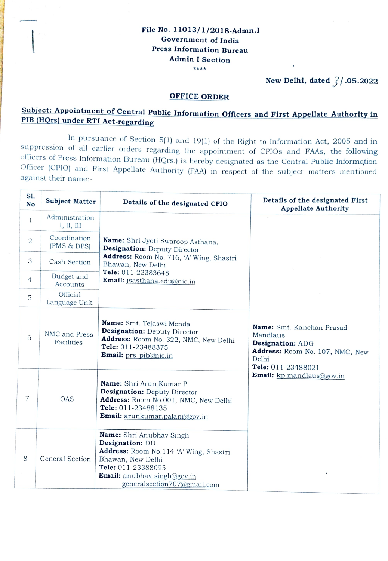## File No. 11013/1/2018-Admn.I Government of India Press Information Bureau Admin I Section \*\*\*\*

New Delhi, dated  $\frac{7}{10}$ .05.2022

## OFFICE ORDER

## Subject: Appointment of Central Public Information Officers and First Appellate Authority in PIB (HQrs) under RTI Act-regarding

In pursuance of Section 5(1) and 19(1) of the Right to Information Act, 2005 and in suppression of all earlier orders regarding the appointment of CPIOs and FAAs, the following<br>officers of Press Information Bureau (HQrs.) is hereby designated as the Central Public Information<br>Officer (CPIO) and First Appe against their name:-

| SI.<br>No      | <b>Subject Matter</b>        | Details of the designated CPIO                                                                                                                                                                        | Details of the designated First<br><b>Appellate Authority</b>                                                               |
|----------------|------------------------------|-------------------------------------------------------------------------------------------------------------------------------------------------------------------------------------------------------|-----------------------------------------------------------------------------------------------------------------------------|
| $\mathbf{1}$   | Administration<br>I, II, III | Name: Shri Jyoti Swaroop Asthana,<br>Designation: Deputy Director<br>Address: Room No. 716, 'A' Wing, Shastri<br>Bhawan, New Delhi<br>Tele: 011-23383648<br>Email: jsasthana.edu@nic.in               |                                                                                                                             |
| $\mathbf{2}$   | Coordination<br>(PMS & DPS)  |                                                                                                                                                                                                       |                                                                                                                             |
| 3              | Cash Section                 |                                                                                                                                                                                                       |                                                                                                                             |
| $\overline{4}$ | Budget and<br>Accounts       |                                                                                                                                                                                                       |                                                                                                                             |
| 5              | Official<br>Language Unit    |                                                                                                                                                                                                       |                                                                                                                             |
| 6              | NMC and Press<br>Facilities  | Name: Smt. Tejaswi Menda<br>Designation: Deputy Director<br>Address: Room No. 322, NMC, New Delhi<br>Tele: 011-23488375<br>Email: prs_pib@nic.in                                                      | Name: Smt. Kanchan Prasad<br>Mandlaus<br>Designation: ADG<br>Address: Room No. 107, NMC, New<br>Delhi<br>Tele: 011-23488021 |
| $\overline{7}$ | OAS                          | Name: Shri Arun Kumar P<br><b>Designation:</b> Deputy Director<br>Address: Room No.001, NMC, New Delhi<br>Tele: 011-23488135<br>Email: arunkumar.palani@gov.in                                        | Email: kp.mandlaus@gov.in                                                                                                   |
| 8              | General Section              | Name: Shri Anubhav Singh<br>Designation: DD<br>Address: Room No.114 'A' Wing, Shastri<br>Bhawan, New Delhi<br>Tele: 011-23388095<br><b>Email:</b> anubhav.singh@gov.in<br>generalsection707@gmail.com |                                                                                                                             |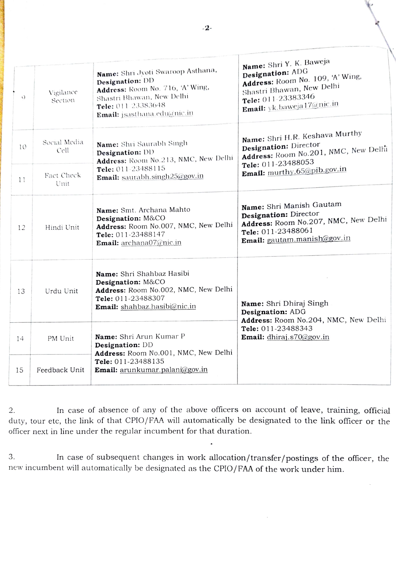| Q  | Vigilance<br>Section | Name: Shri Jyoti Swaroop Asthana,<br>Designation: DD<br>Address: Room No. 716, 'A' Wing,<br>Shastri Bhawan, New Delhi<br>Tele: 011-23383648<br>Email: jsasthana.edu@nic.in | Name: Shri Y. K. Baweja<br>Designation: ADG<br>Address: Room No. 109, 'A' Wing,<br>Shastri Bhawan, New Delhi<br>Tele: 011-23383346<br><b>Email:</b> yk.baweja17@nic.in |
|----|----------------------|----------------------------------------------------------------------------------------------------------------------------------------------------------------------------|------------------------------------------------------------------------------------------------------------------------------------------------------------------------|
| 10 | Social Media<br>Cell | Name: Shri Saurabh Singh<br>Designation: DD<br>Address: Room No.213, NMC, New Delhi<br>Tele: 011-23488115                                                                  | Name: Shri H.R. Keshava Murthy<br>Designation: Director<br>Address: Room No.201, NMC, New Delhi<br>Tele: 011-23488053<br>Email: murthy.65@pib.gov.in                   |
| 11 | Fact Check<br>Unit   | Email: saurabh.singh25@gov.in                                                                                                                                              |                                                                                                                                                                        |
| 12 | Hindi Unit           | Name: Smt. Archana Mahto<br>Designation: M&CO<br>Address: Room No.007, NMC, New Delhi<br>Tele: 011-23488147<br><b>Email:</b> archana07@nic.in                              | Name: Shri Manish Gautam<br>Designation: Director<br>Address: Room No.207, NMC, New Delhi<br>Tele: 011-23488061<br>Email: gautam.manish@gov.in                         |
| 13 | Urdu Unit            | Name: Shri Shahbaz Hasibi<br>Designation: M&CO<br>Address: Room No.002, NMC, New Delhi<br>Tele: 011-23488307<br>Email: shahbaz.hasibi@nic.in                               | Name: Shri Dhiraj Singh<br>Designation: ADG<br>Address: Room No.204, NMC, New Delhi                                                                                    |
| 14 | PM Unit              | Name: Shri Arun Kumar P<br>Designation: DD<br>Address: Room No.001, NMC, New Delhi<br>Tele: 011-23488135<br>Email: arunkumar.palani@gov.in                                 | Tele: 011-23488343<br><b>Email:</b> dhiraj.s70@gov.in                                                                                                                  |
| 15 | Feedback Unit        |                                                                                                                                                                            |                                                                                                                                                                        |

2. In case of absence of any of the above officers on account of leave, training, official duty, tour etc, the link of that CPIO/FAA will automatically be designated to the link officer or the officer next in line under the regular incumbent for that duration.

3. In case of subsequent changes in work allocation/transfer/postings of the officer, the new incumbent will automatically be designated as the CPIO/FAA of the work under him.